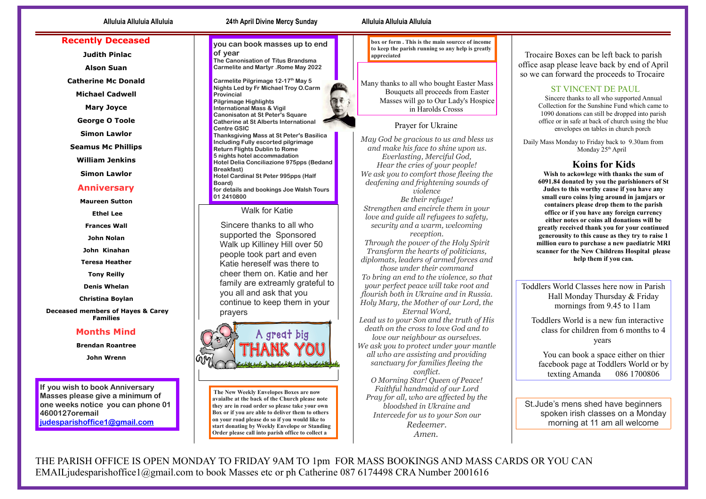### **Recently Deceased**

**Judith Pinlac**

**Alson Suan** 

**Catherine Mc Donald** 

**Michael Cadwell** 

**Mary Joyce** 

**George O Toole** 

**Simon Lawlor** 

**Seamus Mc Phillips** 

**William Jenkins** 

**Simon Lawlor** 

#### **Anniversary**

**Maureen Sutton** 

**Ethel Lee**

**Frances Wall** 

**John Nolan** 

**John Kinahan** 

**Teresa Heather** 

**Tony Reilly** 

**Denis Whelan** 

**Christina Boylan** 

**Deceased members of Hayes & Carey Families** 

### **Months Mind**

**Brendan Roantree** 

**John Wrenn** 

**If you wish to book Anniversary Masses please give a minimum of one weeks notice you can phone 01 4600127oremail [judesparishoffice1@gmail.com](mailto:judesparishoffice1@gmail.com)**

# **you can book masses up to end**

**of year The Canonisation of Titus Brandsma Carmelite and Martyr .Rome May 2022** 

**Carmelite Pilgrimage 12-17th May 5 Nights Led by Fr Michael Troy O.Carm Provincial Pilgrimage Highlights International Mass & Vigil Canonisaton at St Peter's Square Catherine at St Alberts International Centre GSIC Thanksgiving Mass at St Peter's Basilica Including Fully escorted pilgrimage Return Flights Dublin to Rome 5 nights hotel accommadation Hotel Delia Conciliazione 975pps (Bedand Breakfast) Hotel Cardinal St Peter 995pps (Half Board) for details and bookings Joe Walsh Tours 01 2410800**

#### Walk for Katie

 Sincere thanks to all who supported the Sponsored Walk up Killiney Hill over 50 people took part and even Katie hereself was there to cheer them on. Katie and her family are extreamly grateful to you all and ask that you continue to keep them in your prayers



 **The New Weekly Envelopes Boxes are now avaialbe at the back of the Church please note they are in road order so please take your own Box or if you are able to deliver them to others on your road please do so if you would like to start donating by Weekly Envelope or Standing Order please call into parish office to collect a** 

#### **Alluluia Alluluia Alluluia 24th April Divine Mercy Sunday Alluluia Alluluia Alluluia**

**box or form . This is the main sourcce of income to keep the parish running so any help is greatly appreciated** 

Many thanks to all who bought Easter Mass Bouquets all proceeds from Easter Masses will go to Our Lady's Hospice in Harolds Crosss

### Prayer for Ukraine

*May God be gracious to us and bless us and make his face to shine upon us. Everlasting, Merciful God, Hear the cries of your people! We ask you to comfort those fleeing the deafening and frightening sounds of violence Be their refuge! Strengthen and encircle them in your love and guide all refugees to safety, security and a warm, welcoming reception. Through the power of the Holy Spirit Transform the hearts of politicians, diplomats, leaders of armed forces and those under their command To bring an end to the violence, so that your perfect peace will take root and flourish both in Ukraine and in Russia. Holy Mary, the Mother of our Lord, the Eternal Word, Lead us to your Son and the truth of His death on the cross to love God and to love our neighbour as ourselves. We ask you to protect under your mantle all who are assisting and providing sanctuary for families fleeing the conflict.*

*O Morning Star! Queen of Peace! Faithful handmaid of our Lord Pray for all, who are affected by the bloodshed in Ukraine and Intercede for us to your Son our Redeemer. Amen.*

Trocaire Boxes can be left back to parish office asap please leave back by end of April so we can forward the proceeds to Trocaire

## ST VINCENT DE PAUL

Sincere thanks to all who supported Annual Collection for the Sunshine Fund which came to 1090 donations can still be dropped into parish office or in safe at back of church using the blue envelopes on tables in church porch

Daily Mass Monday to Friday back to 9.30am from Monday 25<sup>th</sup> April

# **Koins for Kids**

**Wish to ackowlege with thanks the sum of 6091.84 donated by you the parishioners of St Judes to this worthy cause if you have any small euro coins lying around in jamjars or containers please drop them to the parish office or if you have any foreign currency either notes or coins all donations will be greatly received thank you for your continued generousity to this cause as they try to raise 1 million euro to purchase a new paediatric MRI scanner for the New Childrens Hospital please help them if you can.**

Toddlers World Classes here now in Parish Hall Monday Thursday & Friday mornings from 9.45 to 11am

 Toddlers World is a new fun interactive class for children from 6 months to 4 years

 You can book a space either on thier facebook page at Toddlers World or by texting Amanda 086 1700806

St.Jude's mens shed have beginners spoken irish classes on a Monday morning at 11 am all welcome

THE PARISH OFFICE IS OPEN MONDAY TO FRIDAY 9AM TO 1pm FOR MASS BOOKINGS AND MASS CARDS OR YOU CAN EMAILjudesparishoffice1@gmail.com to book Masses etc or ph Catherine 087 6174498 CRA Number 2001616